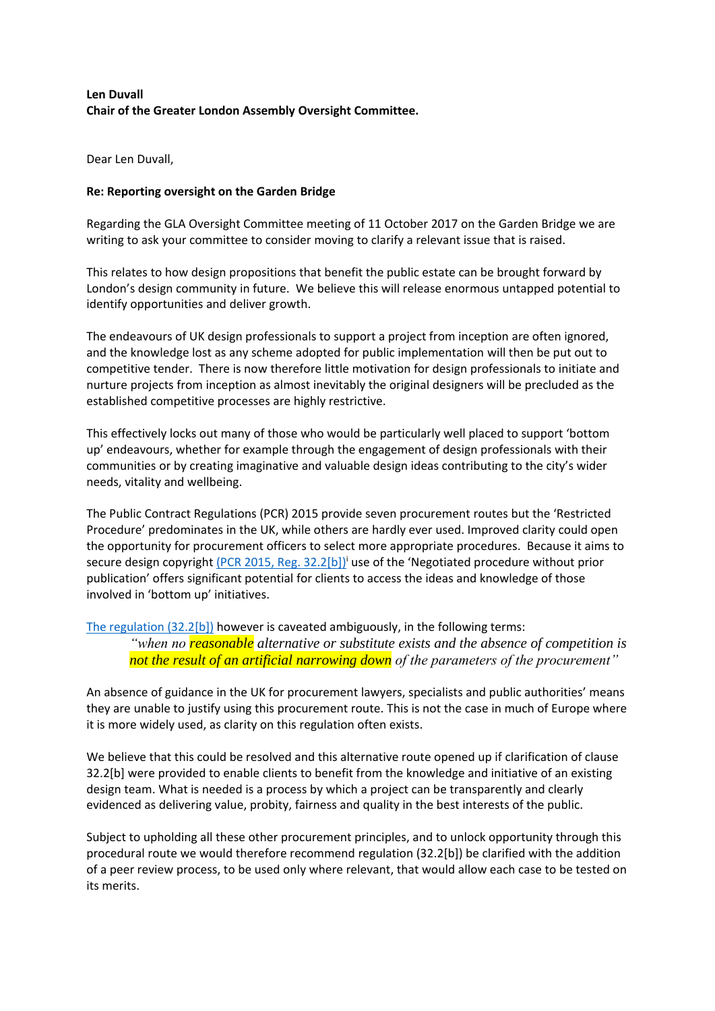# **Len Duvall Chair of the Greater London Assembly Oversight Committee.**

Dear Len Duvall,

## **Re: Reporting oversight on the Garden Bridge**

Regarding the GLA Oversight Committee meeting of 11 October 2017 on the Garden Bridge we are writing to ask your committee to consider moving to clarify a relevant issue that is raised.

This relates to how design propositions that benefit the public estate can be brought forward by London's design community in future. We believe this will release enormous untapped potential to identify opportunities and deliver growth.

The endeavours of UK design professionals to support a project from inception are often ignored, and the knowledge lost as any scheme adopted for public implementation will then be put out to competitive tender. There is now therefore little motivation for design professionals to initiate and nurture projects from inception as almost inevitably the original designers will be precluded as the established competitive processes are highly restrictive.

This effectively locks out many of those who would be particularly well placed to support 'bottom up' endeavours, whether for example through the engagement of design professionals with their communities or by creating imaginative and valuable design ideas contributing to the city's wider needs, vitality and wellbeing.

The Public Contract Regulations (PCR) 2015 provide seven procurement routes but the 'Restricted Procedure' predominates in the UK, while others are hardly ever used. Improved clarity could open the opportunity for procurement officers to select more appropriate procedures. Because it aims to secure design copyright (PCR 2015, [Reg. 32.2\[b\]\)](http://www.legislation.gov.uk/uksi/2015/102/regulation/32/made)<sup>i</sup> use of the 'Negotiated procedure without prior publication' offers significant potential for clients to access the ideas and knowledge of those involved in 'bottom up' initiatives.

[The regulation \(32.2\[b\]\)](http://www.legislation.gov.uk/uksi/2015/102/regulation/32/made) however is caveated ambiguously, in the following terms: *"when no reasonable alternative or substitute exists and the absence of competition is not the result of an artificial narrowing down of the parameters of the procurement"*

An absence of guidance in the UK for procurement lawyers, specialists and public authorities' means they are unable to justify using this procurement route. This is not the case in much of Europe where it is more widely used, as clarity on this regulation often exists.

We believe that this could be resolved and this alternative route opened up if clarification of clause 32.2[b] were provided to enable clients to benefit from the knowledge and initiative of an existing design team. What is needed is a process by which a project can be transparently and clearly evidenced as delivering value, probity, fairness and quality in the best interests of the public.

Subject to upholding all these other procurement principles, and to unlock opportunity through this procedural route we would therefore recommend regulation (32.2[b]) be clarified with the addition of a peer review process, to be used only where relevant, that would allow each case to be tested on its merits.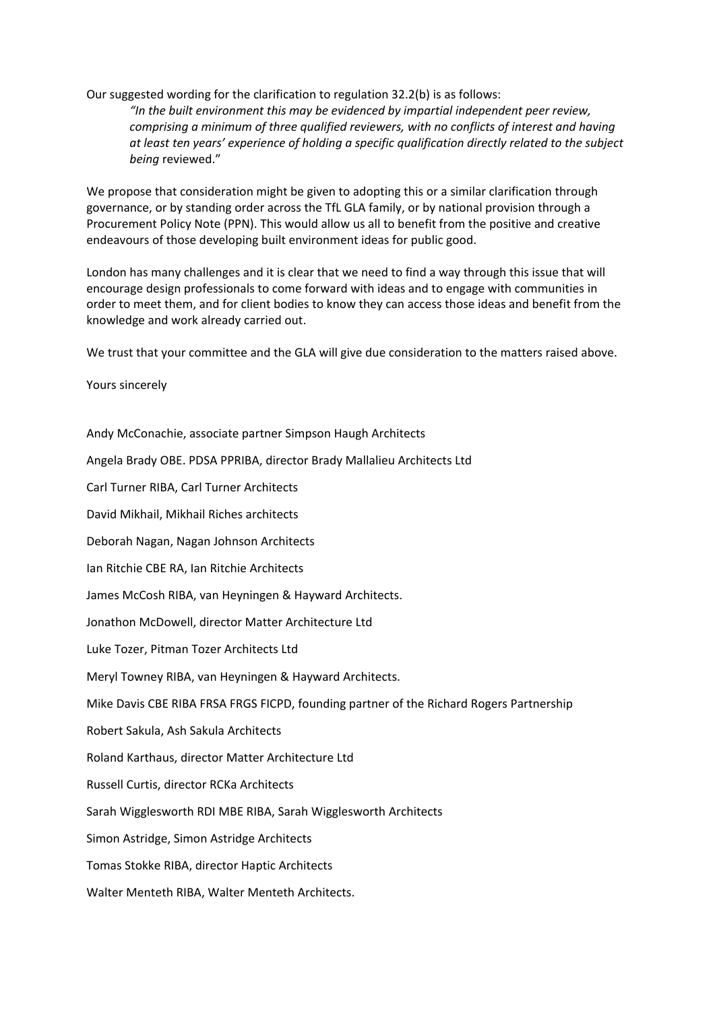## Our suggested wording for the clarification to regulation 32.2(b) is as follows:

*"In the built environment this may be evidenced by impartial independent peer review, comprising a minimum of three qualified reviewers, with no conflicts of interest and having at least ten years' experience of holding a specific qualification directly related to the subject being* reviewed."

We propose that consideration might be given to adopting this or a similar clarification through governance, or by standing order across the TfL GLA family, or by national provision through a Procurement Policy Note (PPN). This would allow us all to benefit from the positive and creative endeavours of those developing built environment ideas for public good.

London has many challenges and it is clear that we need to find a way through this issue that will encourage design professionals to come forward with ideas and to engage with communities in order to meet them, and for client bodies to know they can access those ideas and benefit from the knowledge and work already carried out.

We trust that your committee and the GLA will give due consideration to the matters raised above.

Yours sincerely

Andy McConachie, associate partner Simpson Haugh Architects

Angela Brady OBE. PDSA PPRIBA, director Brady Mallalieu Architects Ltd

Carl Turner RIBA, Carl Turner Architects

David Mikhail, Mikhail Riches architects

Deborah Nagan, Nagan Johnson Architects

Ian Ritchie CBE RA, Ian Ritchie Architects

James McCosh RIBA, van Heyningen & Hayward Architects.

Jonathon McDowell, director Matter Architecture Ltd

Luke Tozer, Pitman Tozer Architects Ltd

Meryl Towney RIBA, van Heyningen & Hayward Architects.

Mike Davis CBE RIBA FRSA FRGS FICPD, founding partner of the Richard Rogers Partnership

Robert Sakula, Ash Sakula Architects

Roland Karthaus, director Matter Architecture Ltd

Russell Curtis, director RCKa Architects

Sarah Wigglesworth RDI MBE RIBA, Sarah Wigglesworth Architects

Simon Astridge, Simon Astridge Architects

Tomas Stokke RIBA, director Haptic Architects

Walter Menteth RIBA, Walter Menteth Architects.